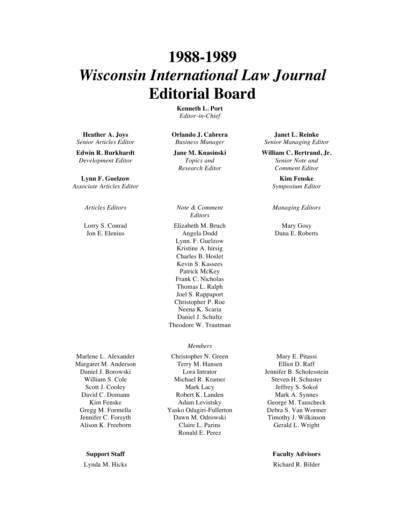# **1988-1989** *Wisconsin International Law Journal* **Editorial Board**

**Kenneth L. Port** *Editor-in-Chief*

**Heather A. Joys** *Senior Articles Editor*

**Edwin R. Burkhardt** *Development Editor*

**Lynn F. Guelzow** *Associate Articles Editor*

Lorry S. Conrad Jon E. Elenius

Marlene L. Alexander Margaret M. Anderson Daniel J. Borowski William S. Cole Scott J. Cooley David C. Domann Kim Fenske Gregg M. Formella Jennifer C. Forsyth Alison K. Freeborn

**Orlando J. Cabrera** *Business Manager*

**Jane M. Knasinski** *Topics and Research Editor*

*Articles Editors Note & Comment Editors*

> Elizabeth M. Bruch Angela Dodd Lynn. F. Guelzow Kristine A. hirsig Charles B. Hoslet Kevin S. Kassees Patrick McKey Frank C. Nicholas Thomas L. Ralph Joel S. Rappaport Christopher P. Roe Neena K. Scaria Daniel J. Schultz Theodore W. Trautman

# *Members*

Christopher N. Green Terry M. Hansen Lora Intrator Michael R. Kramer Mark Lacy Robert K. Landen Adam Levistsky Yasko Odagiri-Fullerton Dawn M. Odrowski Claire L. Parins Ronald E. Perez

**Janet L. Reinke** *Senior Managing Editor*

**William C. Bertrand, Jr.** *Senior Note and Comment Editor*

> **Kim Fenske** *Symposium Editor*

### *Managing Editors*

Mary Gosy Dana E. Roberts

Mary E. Pitassi Elliot D. Raff Jennifer B. Scholesstein Steven H. Schuster Jeffrey S. Sokol Mark A. Synnes George M. Tauscheck Debra S. Van Wormer Timothy J. Wilkinson Gerald L. Wright

## **Support Staff Faculty Advisors**

Lynda M. Hicks **Richard R. Bilder** Richard R. Bilder